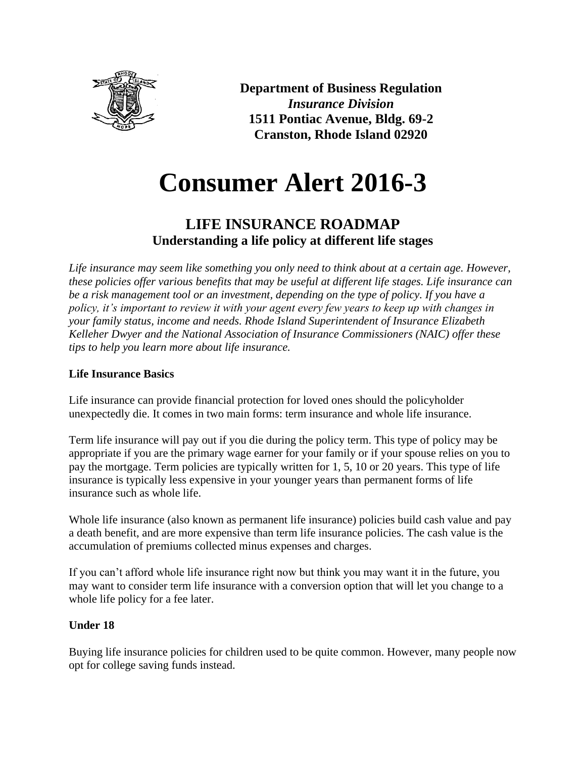

**Department of Business Regulation** *Insurance Division* **1511 Pontiac Avenue, Bldg. 69-2 Cranston, Rhode Island 02920**

# **Consumer Alert 2016-3**

## **LIFE INSURANCE ROADMAP Understanding a life policy at different life stages**

*Life insurance may seem like something you only need to think about at a certain age. However, these policies offer various benefits that may be useful at different life stages. Life insurance can be a risk management tool or an investment, depending on the type of policy. If you have a policy, it's important to review it with your agent every few years to keep up with changes in your family status, income and needs. Rhode Island Superintendent of Insurance Elizabeth Kelleher Dwyer and the National Association of Insurance Commissioners (NAIC) offer these tips to help you learn more about life insurance.*

### **Life Insurance Basics**

Life insurance can provide financial protection for loved ones should the policyholder unexpectedly die. It comes in two main forms: term insurance and whole life insurance.

Term life insurance will pay out if you die during the policy term. This type of policy may be appropriate if you are the primary wage earner for your family or if your spouse relies on you to pay the mortgage. Term policies are typically written for 1, 5, 10 or 20 years. This type of life insurance is typically less expensive in your younger years than permanent forms of life insurance such as whole life.

Whole life insurance (also known as permanent life insurance) policies build cash value and pay a death benefit, and are more expensive than term life insurance policies. The cash value is the accumulation of premiums collected minus expenses and charges.

If you can't afford whole life insurance right now but think you may want it in the future, you may want to consider term life insurance with a conversion option that will let you change to a whole life policy for a fee later.

#### **Under 18**

Buying life insurance policies for children used to be quite common. However, many people now opt for college saving funds instead.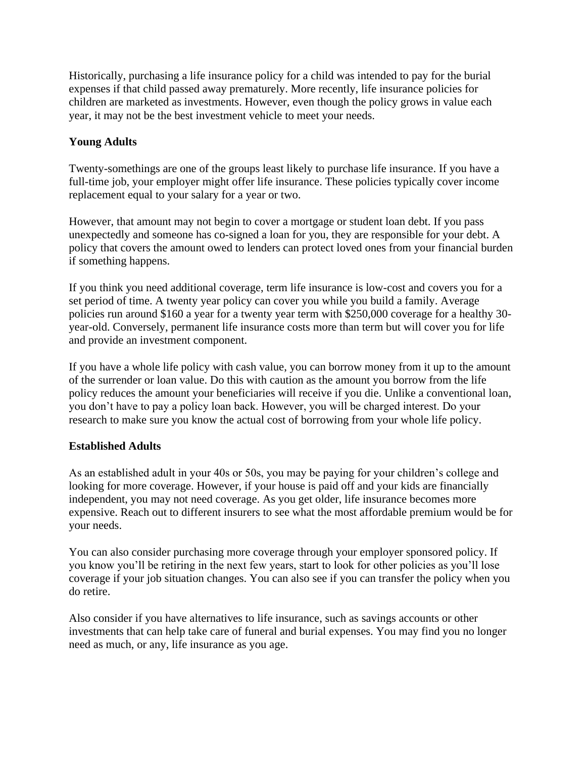Historically, purchasing a life insurance policy for a child was intended to pay for the burial expenses if that child passed away prematurely. More recently, life insurance policies for children are marketed as investments. However, even though the policy grows in value each year, it may not be the best investment vehicle to meet your needs.

#### **Young Adults**

Twenty-somethings are one of the groups least likely to purchase life insurance. If you have a full-time job, your employer might offer life insurance. These policies typically cover income replacement equal to your salary for a year or two.

However, that amount may not begin to cover a mortgage or student loan debt. If you pass unexpectedly and someone has co-signed a loan for you, they are responsible for your debt. A policy that covers the amount owed to lenders can protect loved ones from your financial burden if something happens.

If you think you need additional coverage, term life insurance is low-cost and covers you for a set period of time. A twenty year policy can cover you while you build a family. Average policies run around \$160 a year for a twenty year term with \$250,000 coverage for a healthy 30 year-old. Conversely, permanent life insurance costs more than term but will cover you for life and provide an investment component.

If you have a whole life policy with cash value, you can borrow money from it up to the amount of the surrender or loan value. Do this with caution as the amount you borrow from the life policy reduces the amount your beneficiaries will receive if you die. Unlike a conventional loan, you don't have to pay a policy loan back. However, you will be charged interest. Do your research to make sure you know the actual cost of borrowing from your whole life policy.

#### **Established Adults**

As an established adult in your 40s or 50s, you may be paying for your children's college and looking for more coverage. However, if your house is paid off and your kids are financially independent, you may not need coverage. As you get older, life insurance becomes more expensive. Reach out to different insurers to see what the most affordable premium would be for your needs.

You can also consider purchasing more coverage through your employer sponsored policy. If you know you'll be retiring in the next few years, start to look for other policies as you'll lose coverage if your job situation changes. You can also see if you can transfer the policy when you do retire.

Also consider if you have alternatives to life insurance, such as savings accounts or other investments that can help take care of funeral and burial expenses. You may find you no longer need as much, or any, life insurance as you age.